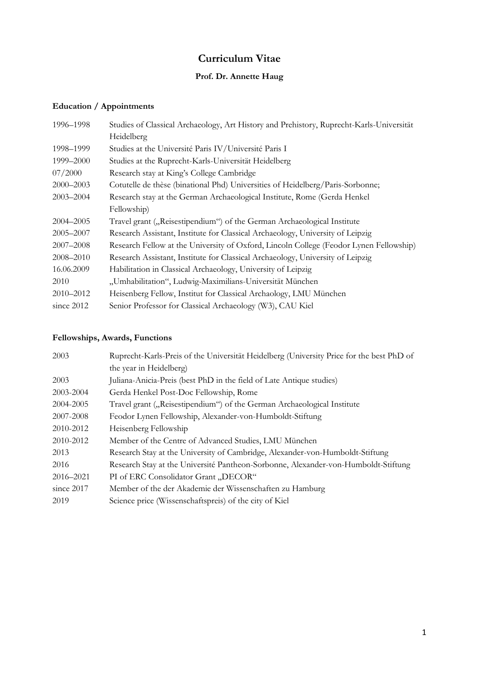# **Curriculum Vitae**

## **Prof. Dr. Annette Haug**

### **Education / Appointments**

| 1996-1998     | Studies of Classical Archaeology, Art History and Prehistory, Ruprecht-Karls-Universität |
|---------------|------------------------------------------------------------------------------------------|
|               | Heidelberg                                                                               |
| 1998-1999     | Studies at the Université Paris IV/Université Paris I                                    |
| 1999–2000     | Studies at the Ruprecht-Karls-Universität Heidelberg                                     |
| 07/2000       | Research stay at King's College Cambridge                                                |
| 2000-2003     | Cotutelle de thèse (binational Phd) Universities of Heidelberg/Paris-Sorbonne;           |
| $2003 - 2004$ | Research stay at the German Archaeological Institute, Rome (Gerda Henkel                 |
|               | Fellowship)                                                                              |
| 2004–2005     | Travel grant ("Reisestipendium") of the German Archaeological Institute                  |
| 2005–2007     | Research Assistant, Institute for Classical Archaeology, University of Leipzig           |
| 2007-2008     | Research Fellow at the University of Oxford, Lincoln College (Feodor Lynen Fellowship)   |
| 2008–2010     | Research Assistant, Institute for Classical Archaeology, University of Leipzig           |
| 16.06.2009    | Habilitation in Classical Archaeology, University of Leipzig                             |
| 2010          | "Umhabilitation", Ludwig-Maximilians-Universität München                                 |
| 2010-2012     | Heisenberg Fellow, Institut for Classical Archaology, LMU München                        |
| since $2012$  | Senior Professor for Classical Archaeology (W3), CAU Kiel                                |

### **Fellowships, Awards, Functions**

| 2003          | Ruprecht-Karls-Preis of the Universität Heidelberg (University Price for the best PhD of |
|---------------|------------------------------------------------------------------------------------------|
|               | the year in Heidelberg)                                                                  |
| 2003          | Juliana-Anicia-Preis (best PhD in the field of Late Antique studies)                     |
| 2003-2004     | Gerda Henkel Post-Doc Fellowship, Rome                                                   |
| 2004-2005     | Travel grant ("Reisestipendium") of the German Archaeological Institute                  |
| 2007-2008     | Feodor Lynen Fellowship, Alexander-von-Humboldt-Stiftung                                 |
| 2010-2012     | Heisenberg Fellowship                                                                    |
| 2010-2012     | Member of the Centre of Advanced Studies, LMU München                                    |
| 2013          | Research Stay at the University of Cambridge, Alexander-von-Humboldt-Stiftung            |
| 2016          | Research Stay at the Université Pantheon-Sorbonne, Alexander-von-Humboldt-Stiftung       |
| $2016 - 2021$ | PI of ERC Consolidator Grant "DECOR"                                                     |
| since $2017$  | Member of the der Akademie der Wissenschaften zu Hamburg                                 |
| 2019          | Science price (Wissenschaftspreis) of the city of Kiel                                   |